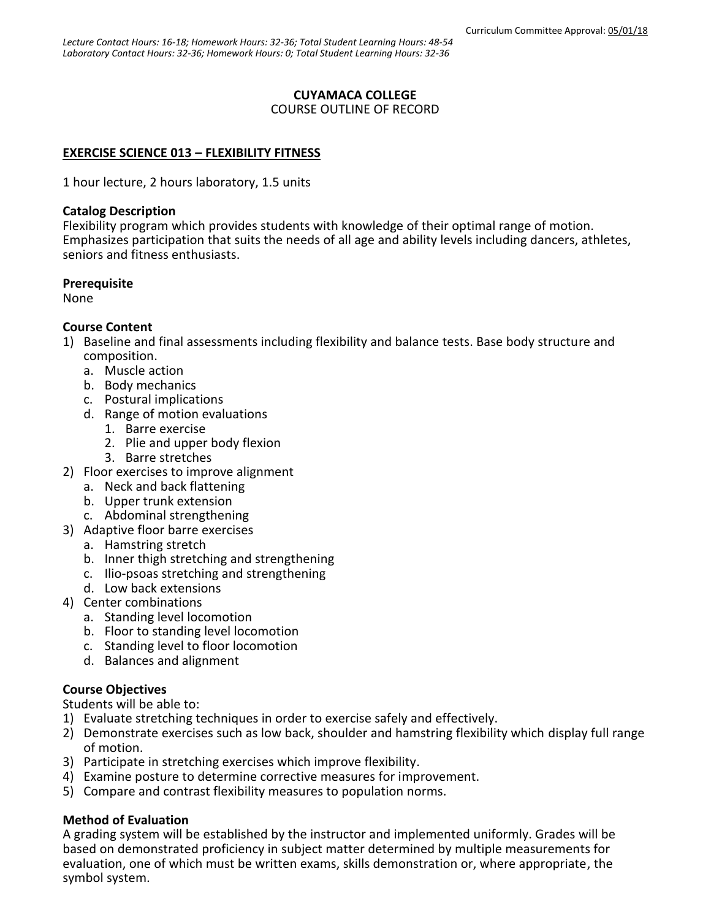# **CUYAMACA COLLEGE**

#### COURSE OUTLINE OF RECORD

# **EXERCISE SCIENCE 013 – FLEXIBILITY FITNESS**

1 hour lecture, 2 hours laboratory, 1.5 units

### **Catalog Description**

Flexibility program which provides students with knowledge of their optimal range of motion. Emphasizes participation that suits the needs of all age and ability levels including dancers, athletes, seniors and fitness enthusiasts.

### **Prerequisite**

None

# **Course Content**

- 1) Baseline and final assessments including flexibility and balance tests. Base body structure and composition.
	- a. Muscle action
	- b. Body mechanics
	- c. Postural implications
	- d. Range of motion evaluations
		- 1. Barre exercise
		- 2. Plie and upper body flexion
		- 3. Barre stretches
- 2) Floor exercises to improve alignment
	- a. Neck and back flattening
	- b. Upper trunk extension
	- c. Abdominal strengthening
- 3) Adaptive floor barre exercises
	- a. Hamstring stretch
	- b. Inner thigh stretching and strengthening
	- c. Ilio-psoas stretching and strengthening
	- d. Low back extensions
- 4) Center combinations
	- a. Standing level locomotion
	- b. Floor to standing level locomotion
	- c. Standing level to floor locomotion
	- d. Balances and alignment

# **Course Objectives**

Students will be able to:

- 1) Evaluate stretching techniques in order to exercise safely and effectively.
- 2) Demonstrate exercises such as low back, shoulder and hamstring flexibility which display full range of motion.
- 3) Participate in stretching exercises which improve flexibility.
- 4) Examine posture to determine corrective measures for improvement.
- 5) Compare and contrast flexibility measures to population norms.

# **Method of Evaluation**

A grading system will be established by the instructor and implemented uniformly. Grades will be based on demonstrated proficiency in subject matter determined by multiple measurements for evaluation, one of which must be written exams, skills demonstration or, where appropriate, the symbol system.